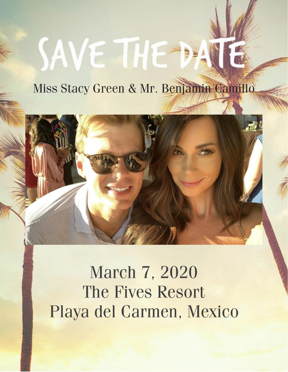# SAVE THE DAT

### Miss Stacy Green & Mr. Benjamin Camillo



**March 7, 2020** The Fives Resort Playa del Carmen, Mexico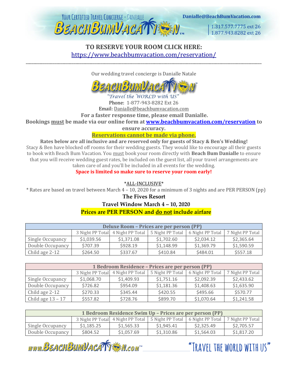

#### **TO RESERVE YOUR ROOM CLICK HERE:** <https://www.beachbumvacation.com/reservation/>

\_\_\_\_\_\_\_\_\_\_\_\_\_\_\_\_\_\_\_\_\_\_\_\_\_\_\_\_\_\_\_\_\_\_\_\_\_\_\_\_\_\_\_\_\_\_\_\_\_\_\_\_\_\_\_\_\_\_\_\_\_\_\_\_\_\_\_\_\_\_\_\_\_\_\_\_\_\_\_\_\_\_\_\_\_\_\_\_\_\_\_\_\_\_\_\_\_\_\_\_\_\_\_\_\_\_\_\_\_\_\_\_\_\_\_\_\_\_\_\_\_\_\_

Our wedding travel concierge is Danialle Natale



Phone: 1-877-943-8282 Ext 26

Email: Danialle@beachbumvacation.com

**For a faster response time, please email Danialle.** 

**Bookings must be made via our online form at [www.beachbumvacation.com/reservation](http://www.beachbumvacation.com/reservation) to** 

**ensure accuracy.** 

#### **Reservations cannot be made via phone.**

**Rates below are all inclusive and are reserved only for guests of Stacy & Ben's Wedding!** Stacy & Ben have blocked off rooms for their wedding guests. They would like to encourage all their guests to book with Beach Bum Vacation. You must book your room directly with **Beach Bum Danialle** to ensure that you will receive wedding guest rates, be included on the guest list, all your travel arrangements are taken care of and you'll be included in all events for the wedding.

#### **Space is limited so make sure to reserve your room early!**

\*ALL-INCLUSIVE\*

\* Rates are based on travel between March 4 – 10, 2020 for a minimum of 3 nights and are PER PERSON (pp)

#### **The Fives Resort**

#### **Travel Window March 4 – 10, 2020**

#### **Prices are PER PERSON and do not include airfare**

| <b>Deluxe Room - Prices are per person (PP)</b> |            |                                   |                  |                  |                  |  |  |
|-------------------------------------------------|------------|-----------------------------------|------------------|------------------|------------------|--|--|
|                                                 |            | 3 Night PP Total 4 Night PP Total | 5 Night PP Total | 6 Night PP Total | 7 Night PP Total |  |  |
| Single Occupancy                                | \$1,039.56 | \$1,371.08                        | \$1,702.60       | \$2,034.12       | \$2,365.64       |  |  |
| Double Occupancy                                | \$707.39   | \$928.19                          | \$1,148.99       | \$1,369.79       | \$1,590.59       |  |  |
| Child age 2-12                                  | \$264.50   | \$337.67                          | \$410.84         | \$484.01         | \$557.18         |  |  |

| 1 Bedroom Residence – Prices are per person (PP) |                  |                  |                  |                  |                  |  |  |  |
|--------------------------------------------------|------------------|------------------|------------------|------------------|------------------|--|--|--|
|                                                  | 3 Night PP Total | 4 Night PP Total | 5 Night PP Total | 6 Night PP Total | 7 Night PP Total |  |  |  |
| Single Occupancy                                 | \$1,068.70       | \$1,409.93       | \$1,751.16       | \$2,092.39       | \$2,433.62       |  |  |  |
| Double Occupancy                                 | \$726.82         | \$954.09         | \$1,181.36       | \$1,408.63       | \$1,635.90       |  |  |  |
| Child age 2-12                                   | \$270.33         | \$345.44         | \$420.55         | \$495.66         | \$570.77         |  |  |  |
| Child age $13 - 17$                              | \$557.82         | \$728.76         | \$899.70         | \$1,070.64       | \$1,241.58       |  |  |  |

| 1 Bedroom Residence Swim Up - Prices are per person (PP) |            |            |                                                                     |            |                  |  |  |
|----------------------------------------------------------|------------|------------|---------------------------------------------------------------------|------------|------------------|--|--|
|                                                          |            |            | 3 Night PP Total 4 Night PP Total 5 Night PP Total 6 Night PP Total |            | 7 Night PP Total |  |  |
| Single Occupancy                                         | \$1,185.25 | \$1,565.33 | \$1,945.41                                                          | \$2,325.49 | \$2,705.57       |  |  |
| Double Occupancy                                         | \$804.52   | \$1,057.69 | \$1,310.86                                                          | \$1,564.03 | \$1,817.20       |  |  |

www.BEACHBUMVACATTEM.com

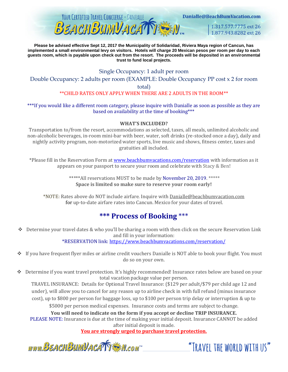

Danialle@BeachBumVacation.com

1.317.577.7775 ext 26 1.877,943,8282 ext 26

**Please be advised effective Sept 12, 2017 the Municipality of Solidaridad, Riviera Maya region of Cancun, has implemented a small environmental levy on visitors. Hotels will charge 20 Mexican pesos per room per day to each guests room, which is payable upon check out from the resort. The proceeds will be deposited in an environmental trust to fund local projects.**

#### Single Occupancy: 1 adult per room

Double Occupancy: 2 adults per room (EXAMPLE: Double Occupancy PP cost x 2 for room total)

\*\*CHILD RATES ONLY APPLY WHEN THERE ARE 2 ADULTS IN THE ROOM\*\*

\*\*\*If you would like a different room category, please inquire with Danialle as soon as possible as they are based on availability at the time of booking\*\*\*

#### **WHAT'S INCLUDED?**

Transportation to/from the resort, accommodations as selected, taxes, all meals, unlimited alcoholic and non-alcoholic beverages, in-room mini-bar with beer, water, soft drinks (re-stocked once a day), daily and nightly activity program, non-motorized water sports, live music and shows, fitness center, taxes and gratuities all included.

\*Please fill in the Reservation Form at [www.beachbumvacations.com/reservation](http://www.beachbumvacations.com/reservation) with information as it appears on your passport to secure your room and celebrate with Stacy & Ben!

> \*\*\*\*\*All reservations MUST to be made by November 20, 2019. \*\*\*\*\* **Space is limited so make sure to reserve your room early!**

\*NOTE: Rates above do NOT include airfare. Inquire with Danialle@beachbumvacation.com for up-to-date airfare rates into Cancun. Mexico for your dates of travel.

#### **\*\*\* Process of Booking** \*\*\*

❖ Determine your travel dates & who you'll be sharing a room with then click on the secure Reservation Link and fill in your information:

\*RESERVATION link:<https://www.beachbumvacations.com/reservation/>

❖ If you have frequent flyer miles or airline credit vouchers Danialle is NOT able to book your flight. You must do so on your own.

❖ Determine if you want travel protection. It's highly recommended! Insurance rates below are based on your total vacation package value per person.

TRAVEL INSURANCE: Details for Optional Travel Insurance: (\$129 per adult/\$79 per child age 12 and under), will allow you to cancel for any reason up to airline check in with full refund (minus insurance cost), up to \$800 per person for baggage loss, up to \$100 per person trip delay or interruption & up to \$5000 per person medical expenses. Insurance costs and terms are subject to change.

**You will need to indicate on the form if you accept or decline TRIP INSURANCE.**  PLEASE NOTE: Insurance is due at the time of making your initial deposit. Insurance CANNOT be added after initial deposit is made.

**You are strongly urged to purchase travel protection.**

www.BEACHBUMVACATTEN.com

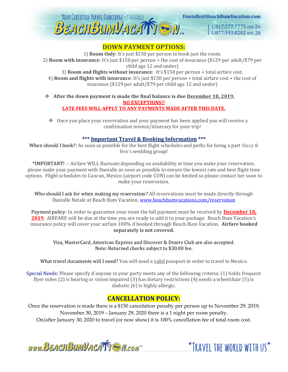

Danialle@BeachBumVacation.com

1.317.577.7775 ext 26 1.877.943.8282 ext 26

#### **DOWN PAYMENT OPTIONS:**

1) **Room Only**: It's just \$150 per person to book just the room. 2) **Room with insurance**: It's just \$150 per person + the cost of insurance (\$129 per adult/\$79 per child age 12 and under)

3) **Room and flights without insurance**: It's \$150 per person + total airfare cost. 4) **Room and flights with insurance**: It's just \$150 per person + total airfare cost + the cost of insurance (\$129 per adult/\$79 per child age 12 and under)

❖ **After the down payment is made the final balance is due December 18, 2019. NO EXCEPTIONS!! LATE FEES WILL APPLY TO ANY PAYMENTS MADE AFTER THIS DATE.**

❖ Once you place your reservation and your payment has been applied you will receive a confirmation invoice/itinerary for your trip!

#### **\*\*\* Important Travel & Booking Information \*\*\***

When should I book?: As soon as possible for the best flight schedules and perks for being a part Stacy & Ben's wedding group!

\*IMPORTANT! -- Airfare WILL fluctuate depending on availability at time you make your reservation, please make your payment with Danialle as soon as possible to ensure the lowest rate and best flight time options. Flight schedules to Cancun, Mexico (airport code CUN) can be limited so please contact her soon to make your reservation.

Who should I ask for when making my reservation? All reservations must be made directly through Danialle Natale at Beach Bum Vacation. [www.beachbumvacations.com/reservation](http://www.beachbumvacations.com/reservation)

Payment policy: In order to guarantee your room the full payment must be received by **December 18, 2019**. AIRFARE will be due at the time you are ready to add it to your package. Beach Bum Vacation's insurance policy will cover your airfare 100% if booked through Beach Bum Vacation. **Airfare booked separately is not covered.**

Visa, MasterCard, American Express and Discover & Diners Club are also accepted. Note: Returned checks subject to \$30.00 fee.

What travel documents will I need? You will need a valid passport in order to travel to Mexico.

Special Needs: Please specify if anyone in your party meets any of the following criteria: (1) holds frequent flyer miles (2) is hearing or vision impaired (3) has dietary restrictions (4) needs a wheelchair (5) is diabetic (6) is highly allergic.

#### **CANCELLATION POLICY:**

Once the reservation is made there is a \$150 cancelation penalty per person up to November 29, 2019; November 30, 2019 – January 29, 2020 there is a 1 night per room penalty. On/after January 30, 2020 to travel (or now show) it is 100% cancellation fee of total room cost.

www.BEACHBUMVACATTEN.com